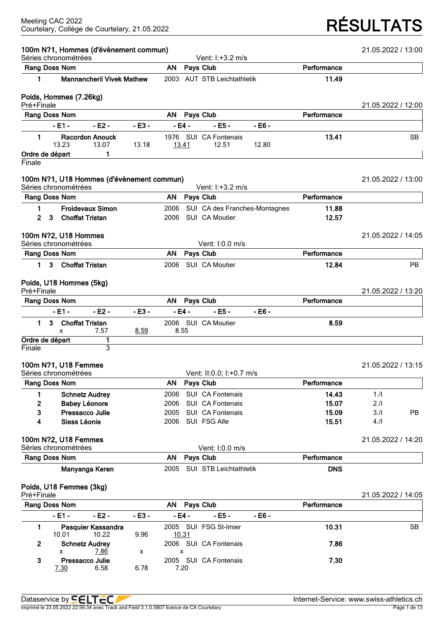# Courtelary, Collège de Courtelary, 21.05.2022 **RÉSULTATS**

|            | Séries chronométrées                         | 100m N?1, Hommes (d'évènement commun)     |         |      |              | Vent: I:+3.2 m/s               |                               |             | 21.05.2022 / 13:00 |           |
|------------|----------------------------------------------|-------------------------------------------|---------|------|--------------|--------------------------------|-------------------------------|-------------|--------------------|-----------|
|            | Rang Doss Nom                                |                                           |         | AN   |              | Pays Club                      |                               | Performance |                    |           |
| 1          |                                              | <b>Mannancheril Vivek Mathew</b>          |         |      |              | 2003 AUT STB Leichtathletik    |                               | 11.49       |                    |           |
|            | Poids, Hommes (7.26kg)                       |                                           |         |      |              |                                |                               |             |                    |           |
| Pré+Finale |                                              |                                           |         |      |              |                                |                               |             | 21.05.2022 / 12:00 |           |
|            | Rang Doss Nom                                |                                           |         | AN   |              | Pays Club                      |                               | Performance |                    |           |
|            | $-E1 -$                                      | $-E2 -$                                   | $-E3 -$ |      | $-E4 -$      | $-EB -$                        | $-E6 -$                       |             |                    |           |
| 1.         | 13.23                                        | <b>Racordon Anouck</b><br>13.07           | 13.18   |      | <u>13.41</u> | 1976 SUI CA Fontenais<br>12.51 | 12.80                         | 13.41       |                    | <b>SB</b> |
|            | Ordre de départ                              | 1                                         |         |      |              |                                |                               |             |                    |           |
| Finale     |                                              |                                           |         |      |              |                                |                               |             |                    |           |
|            | Séries chronométrées                         | 100m N?1, U18 Hommes (d'évènement commun) |         |      |              | Vent: I:+3.2 m/s               |                               |             | 21.05.2022 / 13:00 |           |
|            | Rang Doss Nom                                |                                           |         | AN.  |              | Pays Club                      |                               | Performance |                    |           |
| 1.         |                                              | <b>Froidevaux Simon</b>                   |         | 2006 |              |                                | SUI CA des Franches-Montagnes | 11.88       |                    |           |
| 2          | 3                                            | <b>Choffat Tristan</b>                    |         | 2006 |              | SUI CA Moutier                 |                               | 12.57       |                    |           |
|            | 100m N?2, U18 Hommes                         |                                           |         |      |              |                                |                               |             | 21.05.2022 / 14:05 |           |
|            | Séries chronométrées                         |                                           |         |      |              | Vent: 1:0.0 m/s                |                               |             |                    |           |
|            | Rang Doss Nom                                |                                           |         | AN   |              | Pays Club                      |                               | Performance |                    |           |
| 1.         | 3                                            | <b>Choffat Tristan</b>                    |         | 2006 |              | SUI CA Moutier                 |                               | 12.84       |                    | <b>PB</b> |
|            | Poids, U18 Hommes (5kg)                      |                                           |         |      |              |                                |                               |             |                    |           |
| Pré+Finale |                                              |                                           |         |      |              |                                |                               |             | 21.05.2022 / 13:20 |           |
|            | Rang Doss Nom                                |                                           |         | AN   |              | Pays Club                      |                               | Performance |                    |           |
|            | $-E1 -$                                      | $-E2 -$                                   | $-E3 -$ |      | $-E4 -$      | $-EB -$                        | $-EB -$                       |             |                    |           |
| 1.         | 3<br>x                                       | <b>Choffat Tristan</b><br>7.57            | 8.59    |      | 8.55         | 2006 SUI CA Moutier            |                               | 8.59        |                    |           |
|            | Ordre de départ                              | 1                                         |         |      |              |                                |                               |             |                    |           |
| Finale     |                                              | 3                                         |         |      |              |                                |                               |             |                    |           |
|            | 100m N?1, U18 Femmes<br>Séries chronométrées |                                           |         |      |              | Vent: II:0.0; I:+0.7 m/s       |                               |             | 21.05.2022 / 13:15 |           |
|            | Rang Doss Nom                                |                                           |         | AN   |              | Pays Club                      |                               | Performance |                    |           |
| 1          |                                              | <b>Schnetz Audrey</b>                     |         | 2006 |              | SUI CA Fontenais               |                               | 14.43       | 1.1                |           |
| 2          |                                              | <b>Babey Léonore</b>                      |         | 2006 |              | SUI CA Fontenais               |                               | 15.07       | 2.11               |           |
| 3          |                                              | Pressacco Julie                           |         | 2005 |              | SUI CA Fontenais               |                               | 15.09       | 3.1                | PB        |
| 4          | Siess Léonie                                 |                                           |         | 2006 |              | SUI FSG Alle                   |                               | 15.51       | 4.1                |           |
|            | 100m N?2, U18 Femmes                         |                                           |         |      |              |                                |                               |             | 21.05.2022 / 14:20 |           |
|            | Séries chronométrées<br>Rang Doss Nom        |                                           |         | AN   |              | Vent: I:0.0 m/s<br>Pays Club   |                               | Performance |                    |           |
|            |                                              | Manyanga Keren                            |         |      |              |                                |                               |             |                    |           |
|            |                                              |                                           |         | 2005 |              | SUI STB Leichtathletik         |                               | <b>DNS</b>  |                    |           |
| Pré+Finale | Poids, U18 Femmes (3kg)                      |                                           |         |      |              |                                |                               |             | 21.05.2022 / 14:05 |           |
|            | Rang Doss Nom                                |                                           |         | AN   |              | Pays Club                      |                               | Performance |                    |           |
|            | $-E1 -$                                      | - E2 -                                    | - E3 -  |      | - E4 -       | $- E5 -$                       | $-EB -$                       |             |                    |           |
| 1          |                                              | Pasquier Kassandra                        |         |      |              | 2005 SUI FSG St-Imier          |                               | 10.31       |                    | <b>SB</b> |
|            | 10.01                                        | 10.22                                     | 9.96    |      | 10.31        |                                |                               |             |                    |           |

Imprimé le 23.05.2022 22:56:34 avec Track and Field 3.1.0.5807 licence de CA Courtelary Page 1 de 13

x 7.86 x x

 $6.58$ 

**2 Schnetz Audrey** 2006 SUI CA Fontenais **7.86**

**3 Pressacco Julie** 2005 SUI CA Fontenais **7.30**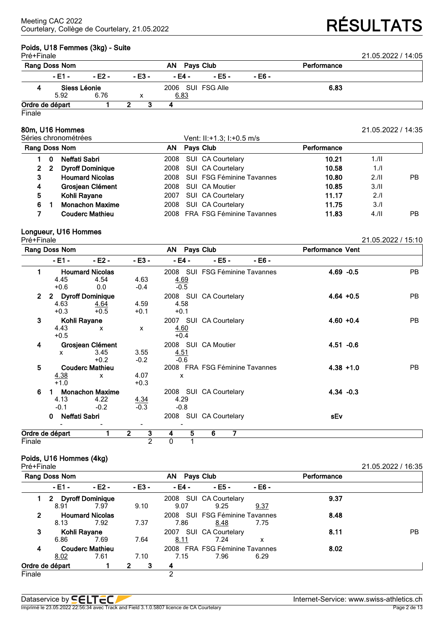| Poids, U18 Femmes (3kg) - Suite<br>Pré+Finale<br>21.05.2022 / 14:05 |              |          |                   |          |        |             |  |  |  |  |  |
|---------------------------------------------------------------------|--------------|----------|-------------------|----------|--------|-------------|--|--|--|--|--|
| Rang Doss Nom                                                       |              |          | AN.<br>Pays Club  |          |        | Performance |  |  |  |  |  |
| $-E1 -$                                                             | - E2 -       | $- E3 -$ | - E4 -            | $- E5 -$ | - E6 - |             |  |  |  |  |  |
|                                                                     | Siess Léonie |          | 2006 SUI FSG Alle |          |        | 6.83        |  |  |  |  |  |
| 5.92                                                                | 6.76         |          | <u>6.83</u>       |          |        |             |  |  |  |  |  |

### **Ordre de départ 1 2 3 4** Finale

|                                       |    | 80m, U16 Hommes         |      |                                  |             | 21.05.2022 / 14:35 |     |
|---------------------------------------|----|-------------------------|------|----------------------------------|-------------|--------------------|-----|
| Séries chronométrées<br>Rang Doss Nom |    |                         |      | Vent: II:+1.3; I:+0.5 m/s        |             |                    |     |
|                                       |    |                         | AN.  | Pays Club                        | Performance |                    |     |
|                                       | 0  | Neffati Sabri           | 2008 | SUI CA Courtelary                | 10.21       | 1.11               |     |
| $\mathbf{2}$                          | -2 | <b>Dyroff Dominique</b> | 2008 | SUI CA Courtelary                | 10.58       | 1.1                |     |
| 3                                     |    | <b>Houmard Nicolas</b>  | 2008 | <b>SUI FSG Féminine Tavannes</b> | 10.80       | 2.11               | PB. |
| 4                                     |    | Grosjean Clément        | 2008 | SUI CA Moutier                   | 10.85       | 3.11               |     |
| 5                                     |    | Kohli Rayane            | 2007 | SUI CA Courtelary                | 11.17       | 2.1                |     |
| 6                                     |    | <b>Monachon Maxime</b>  | 2008 | SUI CA Courtelary                | 11.75       | 3.1                |     |
|                                       |    | <b>Couderc Mathieu</b>  |      | 2008 FRA FSG Féminine Tavannes   | 11.83       | 4.11               | PB. |

### **Longueur, U16 Hommes**

| Pré+Finale   |                    |                        |                                           |                           |                                |        |                         | 21.05.2022 / 15:10 |
|--------------|--------------------|------------------------|-------------------------------------------|---------------------------|--------------------------------|--------|-------------------------|--------------------|
|              | Rang Doss Nom      |                        |                                           | AN Pays Club              |                                |        | <b>Performance Vent</b> |                    |
|              | - E1 -             | $-E2 -$                | $-E3 -$                                   | - E4 -                    | $- E5 -$                       | - E6 - |                         |                    |
| 1            |                    | <b>Houmard Nicolas</b> |                                           |                           | 2008 SUI FSG Féminine Tavannes |        | $4.69 - 0.5$            | <b>PB</b>          |
|              | 4.45               | 4.54                   | 4.63                                      | 4.69                      |                                |        |                         |                    |
|              | $+0.6$             | 0.0                    | $-0.4$                                    | $-0.5$                    |                                |        |                         |                    |
| $\mathbf{2}$ |                    | 2 Dyroff Dominique     |                                           |                           | 2008 SUI CA Courtelary         |        | $4.64 + 0.5$            | <b>PB</b>          |
|              | 4.63               | 4.64                   | 4.59                                      | 4.58                      |                                |        |                         |                    |
|              | $+0.3$             | $+0.5$                 | $+0.1$                                    | $+0.1$                    |                                |        |                         |                    |
| 3            |                    | Kohli Rayane           |                                           |                           | 2007 SUI CA Courtelary         |        | $4.60 + 0.4$            | <b>PB</b>          |
|              | 4.43               | $\mathbf{x}$           | X                                         | 4.60                      |                                |        |                         |                    |
|              | $+0.5$             |                        |                                           | $+0.4$                    |                                |        |                         |                    |
| 4            |                    | Grosjean Clément       |                                           |                           | 2008 SUI CA Moutier            |        | $4.51 - 0.6$            |                    |
|              | x                  | 3.45                   | 3.55                                      | 4.51                      |                                |        |                         |                    |
|              |                    | $+0.2$                 | $-0.2$                                    | $-0.6$                    |                                |        |                         |                    |
| 5            |                    | <b>Couderc Mathieu</b> |                                           |                           | 2008 FRA FSG Féminine Tavannes |        | $4.38 + 1.0$            | PB                 |
|              | 4.38               | X                      | 4.07                                      | $\boldsymbol{\mathsf{x}}$ |                                |        |                         |                    |
|              | $+1.0$             |                        | $+0.3$                                    |                           |                                |        |                         |                    |
| 6            |                    | <b>Monachon Maxime</b> |                                           |                           | 2008 SUI CA Courtelary         |        | $4.34 - 0.3$            |                    |
|              | 4.13               | 4.22                   |                                           | 4.29                      |                                |        |                         |                    |
|              | $-0.1$             | $-0.2$                 | $\frac{4.34}{-0.3}$                       | $-0.8$                    |                                |        |                         |                    |
|              | Neffati Sabri<br>0 |                        |                                           |                           | 2008 SUI CA Courtelary         |        | sEv                     |                    |
|              | Ordre de départ    |                        | $\overline{\mathbf{3}}$<br>$\overline{2}$ | 5<br>4                    | 7<br>6                         |        |                         |                    |
| Finale       |                    |                        | $\overline{2}$                            | $\pmb{0}$                 |                                |        |                         |                    |

### **Poids, U16 Hommes (4kg)**

Pré+Finale 21.05.2022 / 16:35 **Rang Doss Nom AN Pays Club Performance - E1 - - E2 - - E3 - - E4 - - E5 - - E6 - 1 2 Dyroff Dominique** 2008 SUI CA Courtelary **9.37** 8.91 7.97 9.10 9.07 9.25 9.37 **2 Houmard Nicolas** 2008 SUI FSG Féminine Tavannes **8.48** 8.13 7.92 7.37 7.86 8.48 7.75 **3 Kohli Rayane** 2007 SUI CA Courtelary **8.11** PB 6.86 7.69 7.64 8.11 7.24 x **4 Couderc Mathieu** 2008 FRA FSG Féminine Tavannes **8.02** 8.02 7.61 7.10 7.15 7.96 6.29 **Ordre de départ 1 2 3 4** Finale 2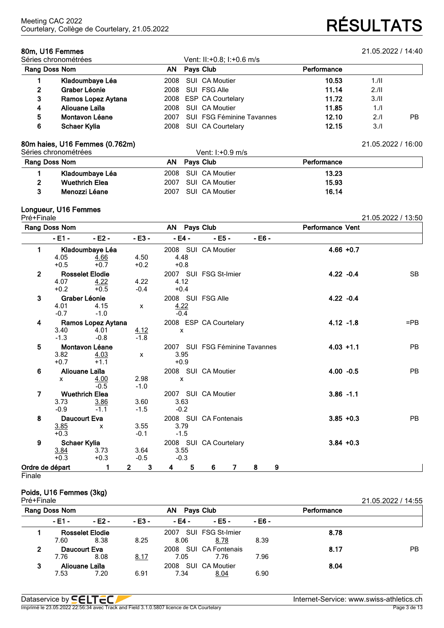| 80m, U16 Femmes<br>Séries chronométrées |                     |           |  | Vent: II:+0.8; I:+0.6 m/s        |       | 21.05.2022 / 14:40 |    |
|-----------------------------------------|---------------------|-----------|--|----------------------------------|-------|--------------------|----|
| Rang Doss Nom                           | ΑN                  | Pays Club |  | Performance                      |       |                    |    |
|                                         | Kladoumbaye Léa     | 2008      |  | SUI CA Moutier                   | 10.53 | 1.11               |    |
| 2                                       | Graber Léonie       | 2008      |  | SUI FSG Alle                     | 11.14 | 2.11               |    |
| 3                                       | Ramos Lopez Aytana  |           |  | 2008 ESP CA Courtelary           | 11.72 | 3.11               |    |
| 4                                       | Aliouane Laïla      | 2008      |  | SUI CA Moutier                   | 11.85 | 1.1                |    |
| 5                                       | Montavon Léane      | 2007      |  | <b>SUI FSG Féminine Tavannes</b> | 12.10 | 2.1                | PB |
| 6                                       | <b>Schaer Kylia</b> | 2008      |  | SUI CA Courtelary                | 12.15 | 3.1                |    |

### **80m haies, U16 Femmes (0.762m)** 21.05.2022 / 16:00

|               | Séries chronométrées  |      | Vent: $1: +0.9$ m/s |             |  |
|---------------|-----------------------|------|---------------------|-------------|--|
| Rang Doss Nom |                       |      | AN Pavs Club        | Performance |  |
|               | Kladoumbaye Léa       |      | 2008 SUI CA Moutier | 13.23       |  |
|               | <b>Wuethrich Elea</b> |      | 2007 SUI CA Moutier | 15.93       |  |
|               | Menozzi Léane         | 2007 | SUI CA Moutier      | 16.14       |  |

### **Longueur, U16 Femmes**

| ı<br>г<br>┏<br>Ξ<br>л. |  |
|------------------------|--|
|                        |  |

| Pré+Finale      |                                       |                                          |                           |                                            |                                |          |                         | 21.05.2022 / 13:50 |
|-----------------|---------------------------------------|------------------------------------------|---------------------------|--------------------------------------------|--------------------------------|----------|-------------------------|--------------------|
|                 | Rang Doss Nom                         |                                          |                           | AN Pays Club                               |                                |          | <b>Performance Vent</b> |                    |
|                 | $-E1 -$                               | $-E2 -$                                  | $- E3 -$                  | - E4 -                                     | $- E5 -$                       | $- E6 -$ |                         |                    |
| 1               | 4.05<br>$+0.5$                        | Kladoumbaye Léa<br>4.66<br>$+0.7$        | 4.50<br>$+0.2$            | 4.48<br>$+0.8$                             | 2008 SUI CA Moutier            |          | $4.66 + 0.7$            |                    |
| $\overline{2}$  | 4.07<br>$+0.2$                        | <b>Rosselet Elodie</b><br>4.22<br>$+0.5$ | 4.22<br>$-0.4$            | 4.12<br>$+0.4$                             | 2007 SUI FSG St-Imier          |          | $4.22 - 0.4$            | <b>SB</b>          |
| 3               | 4.01<br>$-0.7$                        | Graber Léonie<br>4.15<br>$-1.0$          | $\boldsymbol{\mathsf{x}}$ | 2008 SUI FSG Alle<br><u>4.22</u><br>$-0.4$ |                                |          | $4.22 - 0.4$            |                    |
| 4               | 3.40<br>$-1.3$                        | Ramos Lopez Aytana<br>4.01<br>$-0.8$     | $\frac{4.12}{-1.8}$       | X                                          | 2008 ESP CA Courtelary         |          | $4.12 - 1.8$            | $=$ PB             |
| 5               | 3.82<br>$+0.7$                        | Montavon Léane<br>4.03<br>$+1.1$         | X                         | 3.95<br>$+0.9$                             | 2007 SUI FSG Féminine Tavannes |          | $4.03 + 1.1$            | <b>PB</b>          |
| 6               | $\mathsf{x}$                          | Aliouane Laïla<br>4.00<br>$-0.5$         | 2.98<br>$-1.0$            | X                                          | 2008 SUI CA Moutier            |          | $4.00 - 0.5$            | <b>PB</b>          |
| 7               | 3.73<br>$-0.9$                        | <b>Wuethrich Elea</b><br>3.86<br>$-1.1$  | 3.60<br>$-1.5$            | 3.63<br>$-0.2$                             | 2007 SUI CA Moutier            |          | $3.86 - 1.1$            |                    |
| 8               | Daucourt Eva<br>3.85<br>$+0.3$        | $\mathsf{x}$                             | 3.55<br>$-0.1$            | 3.79<br>$-1.5$                             | 2008 SUI CA Fontenais          |          | $3.85 + 0.3$            | <b>PB</b>          |
| 9               | <b>Schaer Kylia</b><br>3.84<br>$+0.3$ | 3.73<br>$+0.3$                           | 3.64<br>$-0.5$            | 3.55<br>$-0.3$                             | 2008 SUI CA Courtelary         |          | $3.84 + 0.3$            |                    |
| Ordre de départ |                                       | 1                                        | 3<br>$\overline{2}$       | 5<br>4                                     | 6<br>$\overline{7}$            | 9<br>8   |                         |                    |

**Finale** 

# **Poids, U16 Femmes (3kg)**

| Pré+Finale    |        |                        |         |           |                       |             |      | 21.05.2022 / 14:55 |
|---------------|--------|------------------------|---------|-----------|-----------------------|-------------|------|--------------------|
| Rang Doss Nom |        |                        | AN      | Pays Club |                       | Performance |      |                    |
|               | - E1 - | $-E2 -$                | $-E3 -$ | - E4 -    | $- E5 -$              | - E6 -      |      |                    |
|               |        | <b>Rosselet Elodie</b> |         | 2007      | SUI FSG St-Imier      |             | 8.78 |                    |
|               | 7.60   | 8.38                   | 8.25    | 8.06      | 8.78                  | 8.39        |      |                    |
| 2             |        | Daucourt Eva           |         |           | 2008 SUI CA Fontenais |             | 8.17 | <b>PB</b>          |
|               | 7.76   | 8.08                   | 8.17    | 7.05      | 7.76                  | 7.96        |      |                    |
| 3             |        | Aliouane Laïla         |         |           | 2008 SUI CA Moutier   |             | 8.04 |                    |
|               | 7.53   | 7.20                   | 6.91    | 7.34      | 8.04                  | 6.90        |      |                    |

Imprimé le 23.05.2022 22:56:34 avec Track and Field 3.1.0.5807 licence de CA Courtelary

Courtelary, Collège de Courtelary, 21.05.2022 **RÉSULTATS**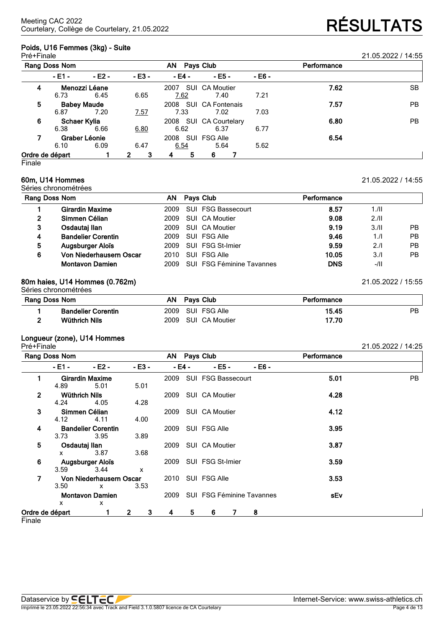# **Poids, U16 Femmes (3kg) - Suite**

| Pré+Finale      |              |                    |                   |           |                         |        |             | 21.05.2022 / 14:55 |
|-----------------|--------------|--------------------|-------------------|-----------|-------------------------|--------|-------------|--------------------|
| Rang Doss Nom   |              |                    |                   | <b>AN</b> | Pays Club               |        | Performance |                    |
|                 | - E1 -       | $-E2 -$            | $-E3 -$           | - E4 -    | $-EB -$                 | - E6 - |             |                    |
| 4               |              | Menozzi Léane      |                   | 2007      | SUI CA Moutier          |        | 7.62        | <b>SB</b>          |
|                 | 6.73         | 6.45               | 6.65              | 7.62      | 7.40                    | 7.21   |             |                    |
| 5               |              | <b>Babey Maude</b> |                   | 2008      | <b>SUI CA Fontenais</b> |        | 7.57        | PB.                |
|                 | 6.87         | 7.20               | <u>7.57</u>       | 7.33      | 7.02                    | 7.03   |             |                    |
| 6               | Schaer Kylia |                    |                   | 2008      | SUI CA Courtelary       |        | 6.80        | PB.                |
|                 | 6.38         | 6.66               | 6.80              | 6.62      | 6.37                    | 6.77   |             |                    |
|                 |              | Graber Léonie      |                   | 2008      | SUI FSG Alle            |        | 6.54        |                    |
|                 | 6.10         | 6.09               | 6.47              | 6.54      | 5.64                    | 5.62   |             |                    |
| Ordre de départ |              |                    | 3<br>$\mathbf{2}$ | 5<br>4    | 6                       |        |             |                    |

Finale

# **60m, U14 Hommes** 21.05.2022 / 14:55

Séries chronométrées

| Rang Doss Nom  |                           | AN Pays Club                   | Performance |        |           |
|----------------|---------------------------|--------------------------------|-------------|--------|-----------|
|                | <b>Girardin Maxime</b>    | 2009 SUI FSG Bassecourt        | 8.57        | 1.11   |           |
| $\overline{2}$ | Simmen Célian             | 2009 SUI CA Moutier            | 9.08        | 2.11   |           |
| 3              | Osdautaj Ilan             | 2009 SUI CA Moutier            | 9.19        | 3/II   | <b>PB</b> |
| 4              | <b>Bandelier Corentin</b> | 2009 SUI FSG Alle              | 9.46        | 1/l    | <b>PB</b> |
| 5              | <b>Augsburger Aloïs</b>   | 2009 SUI FSG St-Imier          | 9.59        | 2.1    | <b>PB</b> |
| 6              | Von Niederhausern Oscar   | 2010 SUI FSG Alle              | 10.05       | 3.1    | PB.       |
|                | <b>Montavon Damien</b>    | 2009 SUI FSG Féminine Tavannes | <b>DNS</b>  | $-/II$ |           |

# **80m haies, U14 Hommes (0.762m)** 21.05.2022 / 15:55

Séries chronométrées

| <b>Rang Doss Nom</b> |                           |  | Pavs Club           | Performance |    |
|----------------------|---------------------------|--|---------------------|-------------|----|
|                      | <b>Bandelier Corentin</b> |  | 2009 SUI FSG Alle   | 15.45       | PB |
|                      | Wüthrich Nils             |  | 2009 SUI CA Moutier | 17.70       |    |

# **Longueur (zone), U14 Hommes**

| Pré+Finale      |                      |                           |                   |      |        |                                |         |             | 21.05.2022 / 14:25 |
|-----------------|----------------------|---------------------------|-------------------|------|--------|--------------------------------|---------|-------------|--------------------|
|                 | Rang Doss Nom        |                           |                   |      |        | AN Pays Club                   |         | Performance |                    |
|                 | - E1 -               | $-E2 -$                   | $-E3 -$           |      | - E4 - | $-EB-$                         | $-EB -$ |             |                    |
|                 |                      | <b>Girardin Maxime</b>    |                   | 2009 |        | <b>SUI FSG Bassecourt</b>      |         | 5.01        | PB                 |
|                 | 4.89                 | 5.01                      | 5.01              |      |        |                                |         |             |                    |
| $\overline{2}$  | <b>Wüthrich Nils</b> |                           |                   | 2009 |        | SUI CA Moutier                 |         | 4.28        |                    |
|                 | 4.24                 | 4.05                      | 4.28              |      |        |                                |         |             |                    |
| 3               |                      | Simmen Célian             |                   |      |        | 2009 SUI CA Moutier            |         | 4.12        |                    |
|                 | 4.12                 | 4.11                      | 4.00              |      |        |                                |         |             |                    |
| 4               |                      | <b>Bandelier Corentin</b> |                   | 2009 |        | SUI FSG Alle                   |         | 3.95        |                    |
|                 | 3.73                 | 3.95                      | 3.89              |      |        |                                |         |             |                    |
| 5               | Osdautaj Ilan        |                           |                   | 2009 |        | SUI CA Moutier                 |         | 3.87        |                    |
|                 | x                    | 3.87                      | 3.68              |      |        |                                |         |             |                    |
| 6               |                      | Augsburger Aloïs          |                   |      |        | 2009 SUI FSG St-Imier          |         | 3.59        |                    |
|                 | 3.59                 | 3.44                      | X                 |      |        |                                |         |             |                    |
| 7               |                      | Von Niederhausern Oscar   |                   |      |        | 2010 SUI FSG Alle              |         | 3.53        |                    |
|                 | 3.50                 | $\mathsf{x}$              | 3.53              |      |        |                                |         |             |                    |
|                 |                      | <b>Montavon Damien</b>    |                   |      |        | 2009 SUI FSG Féminine Tavannes |         | sEv         |                    |
|                 | $\mathsf{x}$         | X                         |                   |      |        |                                |         |             |                    |
| Ordre de départ |                      |                           | $\mathbf{2}$<br>3 | 4    | 5.     | 6                              | 8       |             |                    |

**Finale**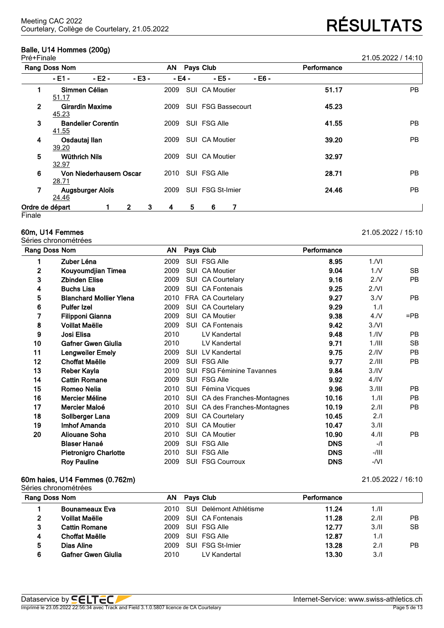# **Balle, U14 Hommes (200g)**

| Pré+Fii<br>∙ınale | 21 05 2022<br>14<br>1.03.2022 |
|-------------------|-------------------------------|
|                   |                               |

|                 | Rang Doss Nom                 |                           |              |   | AN.    |   | Pays Club          |   |        | Performance |           |
|-----------------|-------------------------------|---------------------------|--------------|---|--------|---|--------------------|---|--------|-------------|-----------|
|                 | $-E1 -$                       | $-E2 -$                   | $-E3 -$      |   | - E4 - |   | $- E5 -$           |   | - E6 - |             |           |
|                 | Simmen Célian<br>51.17        |                           |              |   | 2009   |   | SUI CA Moutier     |   |        | 51.17       | <b>PB</b> |
| $\mathbf{2}$    | 45.23                         | <b>Girardin Maxime</b>    |              |   | 2009   |   | SUI FSG Bassecourt |   |        | 45.23       |           |
| 3               | 41.55                         | <b>Bandelier Corentin</b> |              |   | 2009   |   | SUI FSG Alle       |   |        | 41.55       | <b>PB</b> |
| 4               | Osdautaj Ilan<br>39.20        |                           |              |   | 2009   |   | SUI CA Moutier     |   |        | 39.20       | <b>PB</b> |
| 5               | <b>Wüthrich Nils</b><br>32.97 |                           |              |   | 2009   |   | SUI CA Moutier     |   |        | 32.97       |           |
| 6               | 28.71                         | Von Niederhausern Oscar   |              |   | 2010   |   | SUI FSG Alle       |   |        | 28.71       | <b>PB</b> |
| 7               | 24.46                         | Augsburger Aloïs          |              |   | 2009   |   | SUI FSG St-Imier   |   |        | 24.46       | <b>PB</b> |
| Ordre de départ |                               |                           | $\mathbf{2}$ | 3 | 4      | 5 | 6                  | 7 |        |             |           |
| Finale          |                               |                           |              |   |        |   |                    |   |        |             |           |

Séries chronométrées

| Rang Doss Nom |                                | AN   | Pays Club                        | Performance |                  |           |
|---------------|--------------------------------|------|----------------------------------|-------------|------------------|-----------|
| 1             | Zuber Léna                     | 2009 | SUI FSG Alle                     | 8.95        | 1/NI             |           |
| $\mathbf{2}$  | Kouyoumdjian Timea             | 2009 | SUI CA Moutier                   | 9.04        | 1. N             | SB.       |
| 3             | <b>Zbinden Elise</b>           | 2009 | SUI CA Courtelary                | 9.16        | 2.N              | <b>PB</b> |
| 4             | <b>Buchs Lisa</b>              | 2009 | SUI CA Fontenais                 | 9.25        | 2.NI             |           |
| 5             | <b>Blanchard Mollier Ylena</b> | 2010 | FRA CA Courtelary                | 9.27        | 3/N              | <b>PB</b> |
| 6             | <b>Pulfer Izel</b>             | 2009 | SUI CA Courtelary                | 9.29        | 1.1              |           |
| 7             | <b>Filipponi Gianna</b>        | 2009 | SUI CA Moutier                   | 9.38        | 4. N             | $=$ PB    |
| 8             | <b>Voillat Maëlle</b>          | 2009 | SUI CA Fontenais                 | 9.42        | 3/NI             |           |
| 9             | Josi Elisa                     | 2010 | LV Kandertal                     | 9.48        | 1.1V             | <b>PB</b> |
| 10            | <b>Gafner Gwen Giulia</b>      | 2010 | LV Kandertal                     | 9.71        | $1.1$ III        | <b>SB</b> |
| 11            | Lengweiler Emely               | 2009 | <b>SUI LV Kandertal</b>          | 9.75        | 2.1V             | <b>PB</b> |
| 12            | Choffat Maëlle                 | 2009 | SUI FSG Alle                     | 9.77        | 2.111            | <b>PB</b> |
| 13            | Reber Kayla                    | 2010 | <b>SUI FSG Féminine Tavannes</b> | 9.84        | 3.1V             |           |
| 14            | <b>Cattin Romane</b>           | 2009 | SUI FSG Alle                     | 9.92        | 4.1 <sub>N</sub> |           |
| 15            | Romeo Nelia                    | 2010 | SUI Fémina Vicques               | 9.96        | 3.111            | <b>PB</b> |
| 16            | Mercier Méline                 | 2010 | SUI CA des Franches-Montagnes    | 10.16       | 1.11             | <b>PB</b> |
| 17            | Mercier Maloé                  | 2010 | SUI CA des Franches-Montagnes    | 10.19       | 2.11             | <b>PB</b> |
| 18            | Sollberger Lana                | 2009 | SUI CA Courtelary                | 10.45       | 2.11             |           |
| 19            | Imhof Amanda                   | 2010 | SUI CA Moutier                   | 10.47       | 3.11             |           |
| 20            | <b>Aliouane Soha</b>           | 2010 | SUI CA Moutier                   | 10.90       | $4.$ /II         | <b>PB</b> |
|               | <b>Blaser Hanaé</b>            | 2009 | SUI FSG Alle                     | <b>DNS</b>  | $-I$             |           |
|               | <b>Pietronigro Charlotte</b>   | 2010 | SUI FSG Alle                     | <b>DNS</b>  | $-/$ III         |           |
|               | <b>Roy Pauline</b>             | 2009 | <b>SUI FSG Courroux</b>          | <b>DNS</b>  | -/VI             |           |
|               |                                |      |                                  |             |                  |           |

# **60m haies, U14 Femmes (0.762m)** 21.05.2022 / 16:10

|   | Séries chronométrées  |      |                         |             |      |           |
|---|-----------------------|------|-------------------------|-------------|------|-----------|
|   | Rang Doss Nom         | ΑN   | <b>Pays Club</b>        | Performance |      |           |
|   | <b>Bounameaux Eva</b> | 2010 | SUI Delémont Athlétisme | 11.24       | 1.11 |           |
|   | <b>Voillat Maëlle</b> | 2009 | SUI CA Fontenais        | 11.28       | 2.11 | PB        |
| 3 | <b>Cattin Romane</b>  | 2009 | SUI FSG Alle            | 12.77       | 3/II | <b>SB</b> |
| 4 | <b>Choffat Maëlle</b> | 2009 | SUI FSG Alle            | 12.87       | 1/l  |           |
| 5 | Dias Aline            | 2009 | SUI FSG St-Imier        | 13.28       | 2.1  | <b>PB</b> |
| 6 | Gafner Gwen Giulia    | 2010 | LV Kandertal            | 13.30       | 3.1  |           |

# Courtelary, Collège de Courtelary, 21.05.2022 **RÉSULTATS**

**60m, U14 Femmes** 21.05.2022 / 15:10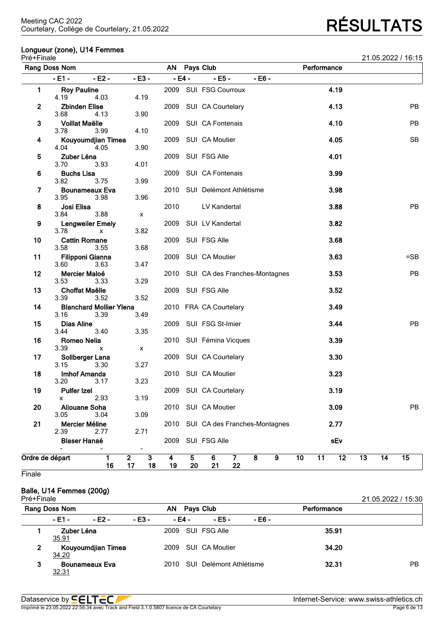# **Longueur (zone), U14 Femmes**

| Pré+Finale   |                                        |          |                      |                                                                |                      |                               |                                                    |    |             |      |    |    | 21.05.2022 / 16:15 |
|--------------|----------------------------------------|----------|----------------------|----------------------------------------------------------------|----------------------|-------------------------------|----------------------------------------------------|----|-------------|------|----|----|--------------------|
|              | Rang Doss Nom                          |          |                      | AN                                                             |                      | Pays Club                     |                                                    |    | Performance |      |    |    |                    |
|              | - E1 -                                 | $- E2 -$ | $-E3-$               |                                                                | $-E4-$               | $- E5 -$                      | $-EB -$                                            |    |             |      |    |    |                    |
| 1.           | <b>Roy Pauline</b><br>4.19             | 4.03     | 4.19                 |                                                                |                      | 2009 SUI FSG Courroux         |                                                    |    |             | 4.19 |    |    |                    |
| $\mathbf{2}$ | <b>Zbinden Elise</b><br>3.68           | 4.13     | 3.90                 | 2009                                                           |                      | SUI CA Courtelary             |                                                    |    |             | 4.13 |    |    | PB                 |
| 3            | <b>Voillat Maëlle</b><br>3.78          | 3.99     | 4.10                 | 2009                                                           |                      | SUI CA Fontenais              |                                                    |    |             | 4.10 |    |    | <b>PB</b>          |
| 4            | Kouyoumdjian Timea<br>4.04             | 4.05     | 3.90                 | 2009                                                           |                      | SUI CA Moutier                |                                                    |    |             | 4.05 |    |    | <b>SB</b>          |
| 5            | Zuber Léna<br>3.70                     | 3.93     | 4.01                 | 2009                                                           |                      | SUI FSG Alle                  |                                                    |    |             | 4.01 |    |    |                    |
| 6            | <b>Buchs Lisa</b><br>3.82              | 3.75     | 3.99                 | 2009                                                           |                      | SUI CA Fontenais              |                                                    |    |             | 3.99 |    |    |                    |
| 7            | <b>Bounameaux Eva</b><br>3.95          | 3.98     | 3.96                 | 2010                                                           |                      | SUI Delémont Athlétisme       |                                                    |    |             | 3.98 |    |    |                    |
| 8            | Josi Elisa<br>3.84                     | 3.88     | X                    | 2010                                                           |                      | LV Kandertal                  |                                                    |    |             | 3.88 |    |    | PB                 |
| 9            | <b>Lengweiler Emely</b><br>3.78        | x        | 3.82                 | 2009                                                           |                      | SUI LV Kandertal              |                                                    |    |             | 3.82 |    |    |                    |
| 10           | <b>Cattin Romane</b><br>3.58           | 3.55     | 3.68                 | 2009                                                           |                      | SUI FSG Alle                  |                                                    |    |             | 3.68 |    |    |                    |
| 11           | Filipponi Gianna<br>3.60               | 3.63     | 3.47                 | 2009                                                           |                      | SUI CA Moutier                |                                                    |    |             | 3.63 |    |    | $=$ SB             |
| 12           | Mercier Maloé<br>3.53                  | 3.33     | 3.29                 | 2010                                                           |                      | SUI CA des Franches-Montagnes |                                                    |    |             | 3.53 |    |    | <b>PB</b>          |
| 13           | <b>Choffat Maëlle</b><br>3.39          | 3.52     | 3.52                 | 2009                                                           |                      | SUI FSG Alle                  |                                                    |    |             | 3.52 |    |    |                    |
| 14           | <b>Blanchard Mollier Ylena</b><br>3.16 | 3.39     | 3.49                 |                                                                |                      | 2010 FRA CA Courtelary        |                                                    |    |             | 3.49 |    |    |                    |
| 15           | <b>Dias Aline</b><br>3.44              | 3.40     | 3.35                 | 2009                                                           |                      | SUI FSG St-Imier              |                                                    |    |             | 3.44 |    |    | PB                 |
| 16           | Romeo Nelia<br>3.39                    | x        | X                    |                                                                |                      | 2010 SUI Fémina Vicques       |                                                    |    |             | 3.39 |    |    |                    |
| 17           | Sollberger Lana<br>3.15                | 3.30     | 3.27                 |                                                                | 2009                 | SUI CA Courtelary             |                                                    |    |             | 3.30 |    |    |                    |
| 18           | Imhof Amanda<br>3.20                   | 3.17     | 3.23                 |                                                                |                      | 2010 SUI CA Moutier           |                                                    |    |             | 3.23 |    |    |                    |
| 19           | <b>Pulfer Izel</b><br>x                | 2.93     | 3.19                 |                                                                |                      | 2009 SUI CA Courtelary        |                                                    |    |             | 3.19 |    |    |                    |
| 20           | <b>Aliouane Soha</b><br>3.05           | 3.04     | 3.09                 | 2010                                                           |                      | SUI CA Moutier                |                                                    |    |             | 3.09 |    |    | PB                 |
| 21           | Mercier Méline<br>2.39                 | 2.77     | 2.71                 | 2010                                                           |                      | SUI CA des Franches-Montagnes |                                                    |    |             | 2.77 |    |    |                    |
|              | <b>Blaser Hanaé</b>                    |          | -                    | 2009                                                           |                      | SUI FSG Alle                  |                                                    |    |             | sEv  |    |    |                    |
|              | Ordre de départ                        | 1<br>16  | $\overline{2}$<br>17 | $\overline{\mathbf{3}}$<br>$\overline{\mathbf{4}}$<br>18<br>19 | $5\phantom{.}$<br>20 | 6<br>$\mathbf{7}$<br>22<br>21 | $\overline{\mathbf{8}}$<br>$\overline{\mathbf{9}}$ | 10 | 11          | 12   | 13 | 14 | 15                 |

**Finale** 

# **Balle, U14 Femmes (200g)**

| Pré+Finale |                     | .                     |         |        |                         |        |             | 21.05.2022 / 15:30 |
|------------|---------------------|-----------------------|---------|--------|-------------------------|--------|-------------|--------------------|
|            | Rang Doss Nom       |                       |         | AN     | Pavs Club               |        | Performance |                    |
|            | - E1 -              | $-E2 -$               | $-E3 -$ | - E4 - | - E5 -                  | - E6 - |             |                    |
|            | Zuber Léna<br>35.91 |                       |         | 2009   | SUI FSG Alle            |        | 35.91       |                    |
| 2          | 34.20               | Kouyoumdjian Timea    |         | 2009   | SUI CA Moutier          |        | 34.20       |                    |
| 3          | <u>32.31</u>        | <b>Bounameaux Eva</b> |         | 2010   | SUI Delémont Athlétisme |        | 32.31       | РB                 |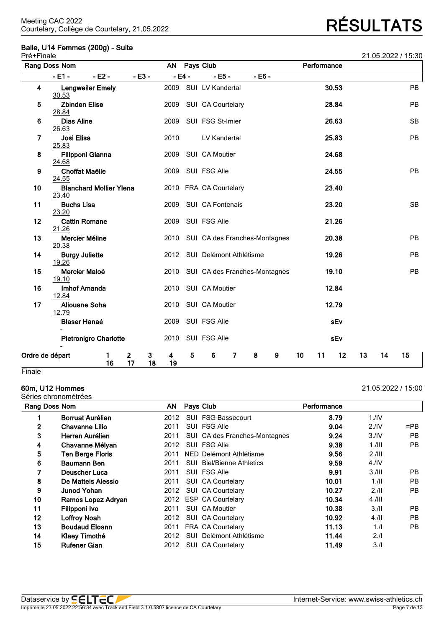# **Balle, U14 Femmes (200g) - Suite**

| Pré+Finale      |                                  |                                |                               |         |           |         |                                    |          |   |    |             |       |    |    | 21.05.2022 / 15:30 |
|-----------------|----------------------------------|--------------------------------|-------------------------------|---------|-----------|---------|------------------------------------|----------|---|----|-------------|-------|----|----|--------------------|
|                 | Rang Doss Nom                    |                                |                               |         | <b>AN</b> |         | Pays Club                          |          |   |    | Performance |       |    |    |                    |
|                 | $-E1 -$                          | $- E2 -$                       |                               | $-E3-$  |           | $-E4 -$ | $- E5 -$                           | $- E6 -$ |   |    |             |       |    |    |                    |
| 4               | 30.53                            | <b>Lengweiler Emely</b>        |                               |         | 2009      |         | SUI LV Kandertal                   |          |   |    |             | 30.53 |    |    | PB                 |
| 5               | <b>Zbinden Elise</b><br>28.84    |                                |                               |         | 2009      |         | SUI CA Courtelary                  |          |   |    |             | 28.84 |    |    | PB                 |
| 6               | <b>Dias Aline</b><br>26.63       |                                |                               |         | 2009      |         | SUI FSG St-Imier                   |          |   |    |             | 26.63 |    |    | <b>SB</b>          |
| 7               | Josi Elisa<br>25.83              |                                |                               |         | 2010      |         | LV Kandertal                       |          |   |    |             | 25.83 |    |    | PB                 |
| 8               | <b>Filipponi Gianna</b><br>24.68 |                                |                               |         | 2009      |         | SUI CA Moutier                     |          |   |    |             | 24.68 |    |    |                    |
| 9               | <b>Choffat Maëlle</b><br>24.55   |                                |                               |         | 2009      |         | SUI FSG Alle                       |          |   |    |             | 24.55 |    |    | PB                 |
| 10              | 23.40                            | <b>Blanchard Mollier Ylena</b> |                               |         |           |         | 2010 FRA CA Courtelary             |          |   |    |             | 23.40 |    |    |                    |
| 11              | <b>Buchs Lisa</b><br>23.20       |                                |                               |         | 2009      |         | SUI CA Fontenais                   |          |   |    |             | 23.20 |    |    | <b>SB</b>          |
| 12              | <b>Cattin Romane</b><br>21.26    |                                |                               |         | 2009      |         | SUI FSG Alle                       |          |   |    |             | 21.26 |    |    |                    |
| 13              | Mercier Méline<br>20.38          |                                |                               |         |           |         | 2010 SUI CA des Franches-Montagnes |          |   |    |             | 20.38 |    |    | <b>PB</b>          |
| 14              | <b>Burgy Juliette</b><br>19.26   |                                |                               |         | 2012      |         | SUI Delémont Athlétisme            |          |   |    |             | 19.26 |    |    | PB                 |
| 15              | Mercier Maloé<br>19.10           |                                |                               |         | 2010      |         | SUI CA des Franches-Montagnes      |          |   |    |             | 19.10 |    |    | <b>PB</b>          |
| 16              | <b>Imhof Amanda</b><br>12.84     |                                |                               |         | 2010      |         | SUI CA Moutier                     |          |   |    |             | 12.84 |    |    |                    |
| 17              | <b>Aliouane Soha</b><br>12.79    |                                |                               |         | 2010      |         | SUI CA Moutier                     |          |   |    |             | 12.79 |    |    |                    |
|                 | <b>Blaser Hanaé</b>              |                                |                               |         | 2009      |         | SUI FSG Alle                       |          |   |    |             | sEv   |    |    |                    |
|                 |                                  | <b>Pietronigro Charlotte</b>   |                               |         | 2010      |         | SUI FSG Alle                       |          |   |    |             | sEv   |    |    |                    |
| Ordre de départ |                                  | 1<br>16                        | $\overline{\mathbf{2}}$<br>17 | 3<br>18 | 4<br>19   | 5       | 6<br>$\overline{7}$                | 8        | 9 | 10 | 11          | 12    | 13 | 14 | 15                 |
| Finale          |                                  |                                |                               |         |           |         |                                    |          |   |    |             |       |    |    |                    |

# **60m, U12 Hommes** 21.05.2022 / 15:00

Séries chronométrées

| Rang Doss Nom |                         | AN   |      | Pays Club                        | Performance |                  |           |
|---------------|-------------------------|------|------|----------------------------------|-------------|------------------|-----------|
|               | Borruat Aurélien        | 2012 |      | SUI FSG Bassecourt               | 8.79        | 1.1 <sup>N</sup> |           |
| $\mathbf{2}$  | <b>Chavanne Lilio</b>   | 2011 |      | SUI FSG Alle                     | 9.04        | 2.1V             | $=$ PB    |
| 3             | Herren Aurélien         | 2011 |      | SUI CA des Franches-Montagnes    | 9.24        | 3.1V             | PB        |
| 4             | Chavanne Mélyan         | 2012 |      | SUI FSG Alle                     | 9.38        | $1.1$ III        | <b>PB</b> |
| 5             | <b>Ten Berge Floris</b> | 2011 |      | NED Delémont Athlétisme          | 9.56        | 2.111            |           |
| 6             | <b>Baumann Ben</b>      | 2011 |      | <b>SUI</b> Biel/Bienne Athletics | 9.59        | 4.1 <sup>N</sup> |           |
| 7             | <b>Deuscher Luca</b>    | 2011 |      | SUI FSG Alle                     | 9.91        | 3.111            | PB.       |
| 8             | De Matteis Alessio      | 2011 |      | SUI CA Courtelary                | 10.01       | 1.11             | PB.       |
| 9             | <b>Junod Yohan</b>      | 2012 |      | SUI CA Courtelary                | 10.27       | 2.11             | <b>PB</b> |
| 10            | Ramos Lopez Adryan      | 2012 |      | <b>ESP CA Courtelary</b>         | 10.34       | $4.1$ III        |           |
| 11            | Filipponi Ivo           | 2011 |      | SUI CA Moutier                   | 10.38       | 3.11             | PB.       |
| 12            | Loffroy Noah            | 2012 |      | SUI CA Courtelary                | 10.92       | 4.11             | PB        |
| 13            | <b>Boudaud Eloann</b>   | 2011 |      | <b>FRA CA Courtelary</b>         | 11.13       | 1.1              | PB        |
| 14            | Klaey Timothé           | 2012 | SUI. | Delémont Athlétisme              | 11.44       | 2.1              |           |
| 15            | <b>Rufener Gian</b>     | 2012 |      | SUI CA Courtelary                | 11.49       | 3.1              |           |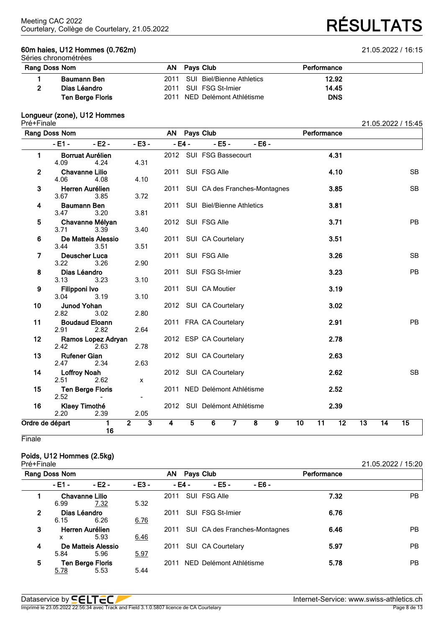### **60m haies, U12 Hommes (0.762m)** 21.05.2022 / 16:15 Séries chronométrées

Courtelary, Collège de Courtelary, 21.05.2022 **RÉSULTATS**

| Rang Doss Nom           |  | Performance                                                                                             |  |
|-------------------------|--|---------------------------------------------------------------------------------------------------------|--|
| Baumann Ben             |  | 12.92                                                                                                   |  |
| Dias Léandro            |  | 14.45                                                                                                   |  |
| <b>Ten Berge Floris</b> |  | <b>DNS</b>                                                                                              |  |
|                         |  | AN Pays Club<br>2011 SUI Biel/Bienne Athletics<br>2011 SUI FSG St-Imier<br>2011 NED Delémont Athlétisme |  |

### **Longueur (zone), U12 Hommes**

| Pré+Finale      |                               |                                                     |                                           |           |                |                               |                         |                |                 |                 |                 |                 |                 | 21.05.2022 / 15:45 |
|-----------------|-------------------------------|-----------------------------------------------------|-------------------------------------------|-----------|----------------|-------------------------------|-------------------------|----------------|-----------------|-----------------|-----------------|-----------------|-----------------|--------------------|
|                 | Rang Doss Nom                 |                                                     |                                           | <b>AN</b> |                | Pays Club                     |                         |                |                 | Performance     |                 |                 |                 |                    |
|                 | $-E1 -$                       | $-E2 -$                                             | $- E3 -$                                  |           | $-E4 -$        | $- E5 -$                      | $- E6 -$                |                |                 |                 |                 |                 |                 |                    |
| 1               | 4.09                          | <b>Borruat Aurélien</b><br>4.24                     | 4.31                                      |           |                | 2012 SUI FSG Bassecourt       |                         |                |                 |                 | 4.31            |                 |                 |                    |
| $\mathbf{2}$    | <b>Chavanne Lilio</b><br>4.06 | 4.08                                                | 4.10                                      | 2011      |                | SUI FSG Alle                  |                         |                |                 |                 | 4.10            |                 |                 | <b>SB</b>          |
| 3               | 3.67                          | Herren Aurélien<br>3.85                             | 3.72                                      | 2011      |                | SUI CA des Franches-Montagnes |                         |                |                 |                 | 3.85            |                 |                 | <b>SB</b>          |
| 4               | <b>Baumann Ben</b><br>3.47    | 3.20                                                | 3.81                                      | 2011      |                | SUI Biel/Bienne Athletics     |                         |                |                 |                 | 3.81            |                 |                 |                    |
| 5               | 3.71                          | Chavanne Mélyan<br>3.39                             | 3.40                                      | 2012      |                | SUI FSG Alle                  |                         |                |                 |                 | 3.71            |                 |                 | <b>PB</b>          |
| 6               | 3.44                          | De Matteis Alessio<br>3.51                          | 3.51                                      | 2011      |                | SUI CA Courtelary             |                         |                |                 |                 | 3.51            |                 |                 |                    |
| 7               | <b>Deuscher Luca</b><br>3.22  | 3.26                                                | 2.90                                      | 2011      |                | SUI FSG Alle                  |                         |                |                 |                 | 3.26            |                 |                 | <b>SB</b>          |
| 8               | Dias Léandro<br>3.13          | 3.23                                                | 3.10                                      | 2011      |                | SUI FSG St-Imier              |                         |                |                 |                 | 3.23            |                 |                 | <b>PB</b>          |
| 9               | Filipponi Ivo<br>3.04         | 3.19                                                | 3.10                                      | 2011      |                | SUI CA Moutier                |                         |                |                 |                 | 3.19            |                 |                 |                    |
| 10              | <b>Junod Yohan</b><br>2.82    | 3.02                                                | 2.80                                      |           |                | 2012 SUI CA Courtelary        |                         |                |                 |                 | 3.02            |                 |                 |                    |
| 11              | 2.91                          | <b>Boudaud Eloann</b><br>2.82                       | 2.64                                      |           |                | 2011 FRA CA Courtelary        |                         |                |                 |                 | 2.91            |                 |                 | <b>PB</b>          |
| 12              | 2.42                          | Ramos Lopez Adryan<br>2.63                          | 2.78                                      |           |                | 2012 ESP CA Courtelary        |                         |                |                 |                 | 2.78            |                 |                 |                    |
| 13              | <b>Rufener Gian</b><br>2.47   | 2.34                                                | 2.63                                      |           |                | 2012 SUI CA Courtelary        |                         |                |                 |                 | 2.63            |                 |                 |                    |
| 14              | <b>Loffroy Noah</b><br>2.51   | 2.62                                                | $\pmb{\chi}$                              |           |                | 2012 SUI CA Courtelary        |                         |                |                 |                 | 2.62            |                 |                 | <b>SB</b>          |
| 15              | 2.52                          | <b>Ten Berge Floris</b><br>$\overline{\phantom{0}}$ | $\overline{\phantom{a}}$                  |           |                | 2011 NED Delémont Athlétisme  |                         |                |                 |                 | 2.52            |                 |                 |                    |
| 16              | Klaey Timothé<br>2.20         | 2.39                                                | 2.05                                      |           |                | 2012 SUI Delémont Athlétisme  |                         |                |                 |                 | 2.39            |                 |                 |                    |
| Ordre de départ |                               | 1<br>16                                             | $\overline{2}$<br>$\overline{\mathbf{3}}$ | 4         | $\overline{5}$ | 6                             | $\overline{\mathbf{8}}$ | $\overline{9}$ | $\overline{10}$ | $\overline{11}$ | $\overline{12}$ | $\overline{13}$ | $\overline{14}$ | $\overline{15}$    |

**Finale** 

# **Poids, U12 Hommes (2.5kg)**

| Pré+Finale     |               |                         |                 |      |        |                         |                               |             | 21.05.2022 / 15:20 |
|----------------|---------------|-------------------------|-----------------|------|--------|-------------------------|-------------------------------|-------------|--------------------|
|                | Rang Doss Nom |                         | AN<br>Pays Club |      |        |                         |                               | Performance |                    |
|                | - E1 -        | $-E2 -$                 | - E3 -          |      | - E4 - | - E5 -                  | - E6 -                        |             |                    |
|                |               | <b>Chavanne Lilio</b>   |                 | 2011 |        | SUI FSG Alle            |                               | 7.32        | PB.                |
|                | 6.99          | 7.32                    | 5.32            |      |        |                         |                               |             |                    |
| $\overline{2}$ | Dias Léandro  |                         |                 | 2011 |        | SUI FSG St-Imier        |                               | 6.76        |                    |
|                | 6.15          | 6.26                    | 6.76            |      |        |                         |                               |             |                    |
| 3              |               | Herren Aurélien         |                 | 2011 |        |                         | SUI CA des Franches-Montagnes | 6.46        | PB.                |
|                | x             | 5.93                    | 6.46            |      |        |                         |                               |             |                    |
| 4              |               | De Matteis Alessio      |                 | 2011 |        | SUI CA Courtelary       |                               | 5.97        | <b>PB</b>          |
|                | 5.84          | 5.96                    | 5.97            |      |        |                         |                               |             |                    |
| 5              |               | <b>Ten Berge Floris</b> |                 | 2011 |        | NED Delémont Athlétisme |                               | 5.78        | PB.                |
|                | 5.78          | 5.53                    | 5.44            |      |        |                         |                               |             |                    |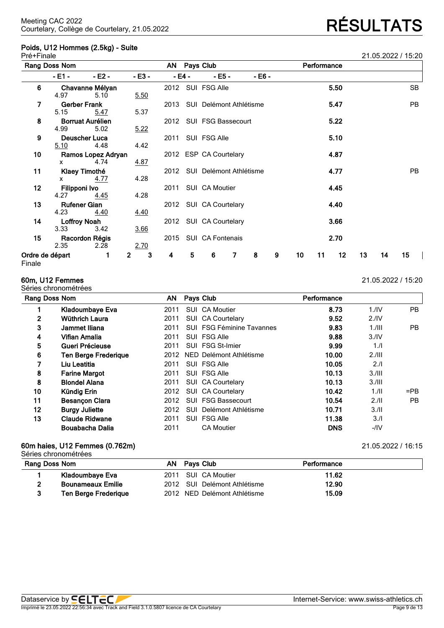# **Poids, U12 Hommes (2.5kg) - Suite**

| <b>RÉSULTATS</b> |  |
|------------------|--|
|                  |  |

| Pré+Finale      |                     |                         |                  |      |        |                              |                |          |   |    |             |      |    |    | 21.05.2022 / 15:20 |
|-----------------|---------------------|-------------------------|------------------|------|--------|------------------------------|----------------|----------|---|----|-------------|------|----|----|--------------------|
|                 | Rang Doss Nom       |                         |                  |      |        | AN Pays Club                 |                |          |   |    | Performance |      |    |    |                    |
|                 | - E1 -              | $-E2 -$                 | $- E3 -$         |      | - E4 - | $- E5 -$                     |                | $- E6 -$ |   |    |             |      |    |    |                    |
| 6               |                     | Chavanne Mélyan         |                  |      |        | 2012 SUI FSG Alle            |                |          |   |    |             | 5.50 |    |    | SB                 |
|                 | 4.97                | 5.10                    | 5.50             |      |        |                              |                |          |   |    |             |      |    |    |                    |
| 7               | <b>Gerber Frank</b> |                         |                  |      |        | 2013 SUI Delémont Athlétisme |                |          |   |    |             | 5.47 |    |    | <b>PB</b>          |
|                 | 5.15                | 5.47                    | 5.37             |      |        |                              |                |          |   |    |             |      |    |    |                    |
| 8               |                     | <b>Borruat Aurélien</b> |                  |      |        | 2012 SUI FSG Bassecourt      |                |          |   |    |             | 5.22 |    |    |                    |
|                 | 4.99                | 5.02                    | 5.22             |      |        |                              |                |          |   |    |             |      |    |    |                    |
| 9               |                     | Deuscher Luca           |                  | 2011 |        | SUI FSG Alle                 |                |          |   |    |             | 5.10 |    |    |                    |
|                 | <u>5.10</u>         | 4.48                    | 4.42             |      |        |                              |                |          |   |    |             |      |    |    |                    |
| 10              |                     | Ramos Lopez Adryan      |                  |      |        | 2012 ESP CA Courtelary       |                |          |   |    |             | 4.87 |    |    |                    |
|                 | x                   | 4.74                    | 4.87             |      |        |                              |                |          |   |    |             |      |    |    |                    |
| 11              |                     | Klaey Timothé           |                  |      |        | 2012 SUI Delémont Athlétisme |                |          |   |    |             | 4.77 |    |    | <b>PB</b>          |
|                 | x                   | 4.77                    | 4.28             |      |        |                              |                |          |   |    |             |      |    |    |                    |
| $12 \,$         | Filipponi Ivo       |                         |                  | 2011 |        | SUI CA Moutier               |                |          |   |    |             | 4.45 |    |    |                    |
|                 | 4.27                | 4.45                    | 4.28             |      |        |                              |                |          |   |    |             |      |    |    |                    |
| 13              | <b>Rufener Gian</b> |                         |                  |      |        | 2012 SUI CA Courtelary       |                |          |   |    |             | 4.40 |    |    |                    |
|                 | 4.23                | 4.40                    | <u>4.40</u>      |      |        |                              |                |          |   |    |             |      |    |    |                    |
| 14              | <b>Loffroy Noah</b> |                         |                  |      |        | 2012 SUI CA Courtelary       |                |          |   |    |             | 3.66 |    |    |                    |
|                 | 3.33                | 3.42                    | 3.66             |      |        |                              |                |          |   |    |             |      |    |    |                    |
| 15              | 2.35                | Racordon Régis<br>2.28  | 2.70             |      |        | 2015 SUI CA Fontenais        |                |          |   |    |             | 2.70 |    |    |                    |
| Ordre de départ |                     |                         | 3<br>$\mathbf 2$ | 4    | 5      | 6                            | $\overline{7}$ | 8        | 9 | 10 | 11          | 12   | 13 | 14 | 15 <sub>15</sub>   |

### Finale

# Séries chronométrées

### **60m, U12 Femmes** 21.05.2022 / 15:20

| Rang Doss Nom |                             | AN   |            | Pays Club                 | Performance |                  |        |
|---------------|-----------------------------|------|------------|---------------------------|-------------|------------------|--------|
|               | Kladoumbaye Eva             | 2011 |            | SUI CA Moutier            | 8.73        | 1.1 <sub>N</sub> | PB.    |
| 2             | Wüthrich Laura              | 2011 |            | SUI CA Courtelary         | 9.52        | 2.1V             |        |
| 3             | Jammet Iliana               | 2011 |            | SUI FSG Féminine Tavannes | 9.83        | $1.1$ III        | PB.    |
| 4             | Vifian Amalia               | 2011 |            | SUI FSG Alle              | 9.88        | 3.1V             |        |
| 5             | Gueri Précieuse             | 2011 |            | SUI FSG St-Imier          | 9.99        | 1.1              |        |
| 6             | <b>Ten Berge Frederique</b> | 2012 |            | NED Delémont Athlétisme   | 10.00       | 2.111            |        |
|               | Liu Leatitia                | 2011 |            | SUI FSG Alle              | 10.05       | 2.1              |        |
| 8             | <b>Farine Margot</b>        | 2011 |            | SUI FSG Alle              | 10.13       | 3.111            |        |
| 8             | <b>Blondel Alana</b>        | 2011 |            | SUI CA Courtelary         | 10.13       | 3.111            |        |
| 10            | Kündig Erin                 | 2012 |            | SUI CA Courtelary         | 10.42       | 1.11             | $=$ PB |
| 11            | <b>Besançon Clara</b>       | 2012 |            | <b>SUI FSG Bassecourt</b> | 10.54       | 2.11             | PB     |
| 12            | <b>Burgy Juliette</b>       | 2012 | SUI        | Delémont Athlétisme       | 10.71       | 3.11             |        |
| 13            | <b>Claude Ridwane</b>       | 2011 | <b>SUI</b> | <b>FSG Alle</b>           | 11.38       | 3.1              |        |
|               | <b>Bouabacha Dalia</b>      | 2011 |            | <b>CA Moutier</b>         | <b>DNS</b>  | -/IV             |        |

# **60m haies, U12 Femmes (0.762m)** 21.05.2022 / 16:15

| Rang Doss Nom |                             | AN Pays Club                 | Performance |  |
|---------------|-----------------------------|------------------------------|-------------|--|
|               | Kladoumbaye Eva             | 2011 SUI CA Moutier          | 11.62       |  |
|               | <b>Bounameaux Emilie</b>    | 2012 SUI Delémont Athlétisme | 12.90       |  |
| 3             | <b>Ten Berge Frederique</b> | 2012 NED Delémont Athlétisme | 15.09       |  |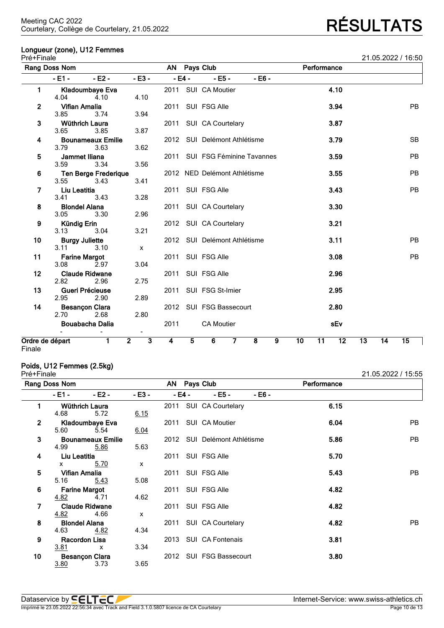# **Longueur (zone), U12 Femmes**

| Pré+Finale                       |                               |                                     |                                           |      |                |                                |                         |   |    |             |                 |    |    | 21.05.2022 / 16:50 |
|----------------------------------|-------------------------------|-------------------------------------|-------------------------------------------|------|----------------|--------------------------------|-------------------------|---|----|-------------|-----------------|----|----|--------------------|
|                                  | Rang Doss Nom                 |                                     |                                           |      |                | AN Pays Club                   |                         |   |    | Performance |                 |    |    |                    |
|                                  | $-E1 -$                       | $-E2 -$                             | $- E3 -$                                  |      | $-E4 -$        | $- E5 -$                       | $- E6 -$                |   |    |             |                 |    |    |                    |
| 1                                | 4.04                          | Kladoumbaye Eva<br>4.10             | 4.10                                      |      |                | 2011 SUI CA Moutier            |                         |   |    |             | 4.10            |    |    |                    |
| 2                                | <b>Vifian Amalia</b><br>3.85  | 3.74                                | 3.94                                      |      |                | 2011 SUI FSG Alle              |                         |   |    |             | 3.94            |    |    | <b>PB</b>          |
| 3                                | <b>Wüthrich Laura</b><br>3.65 | 3.85                                | 3.87                                      |      |                | 2011 SUI CA Courtelary         |                         |   |    |             | 3.87            |    |    |                    |
| 4                                | 3.79                          | <b>Bounameaux Emilie</b><br>3.63    | 3.62                                      |      |                | 2012 SUI Delémont Athlétisme   |                         |   |    |             | 3.79            |    |    | <b>SB</b>          |
| 5                                | Jammet Iliana<br>3.59         | 3.34                                | 3.56                                      |      |                | 2011 SUI FSG Féminine Tavannes |                         |   |    |             | 3.59            |    |    | <b>PB</b>          |
| 6                                | 3.55                          | <b>Ten Berge Frederique</b><br>3.43 | 3.41                                      |      |                | 2012 NED Delémont Athlétisme   |                         |   |    |             | 3.55            |    |    | <b>PB</b>          |
| 7                                | Liu Leatitia<br>3.41          | 3.43                                | 3.28                                      | 2011 |                | SUI FSG Alle                   |                         |   |    |             | 3.43            |    |    | <b>PB</b>          |
| 8                                | <b>Blondel Alana</b><br>3.05  | 3.30                                | 2.96                                      |      |                | 2011 SUI CA Courtelary         |                         |   |    |             | 3.30            |    |    |                    |
| 9                                | Kündig Erin<br>3.13           | 3.04                                | 3.21                                      |      |                | 2012 SUI CA Courtelary         |                         |   |    |             | 3.21            |    |    |                    |
| 10                               | <b>Burgy Juliette</b><br>3.11 | 3.10                                | $\mathsf{x}$                              |      |                | 2012 SUI Delémont Athlétisme   |                         |   |    |             | 3.11            |    |    | <b>PB</b>          |
| 11                               | <b>Farine Margot</b><br>3.08  | 2.97                                | 3.04                                      |      |                | 2011 SUI FSG Alle              |                         |   |    |             | 3.08            |    |    | <b>PB</b>          |
| $12 \,$                          | 2.82                          | <b>Claude Ridwane</b><br>2.96       | 2.75                                      | 2011 |                | SUI FSG Alle                   |                         |   |    |             | 2.96            |    |    |                    |
| 13                               | Gueri Précieuse<br>2.95       | 2.90                                | 2.89                                      | 2011 |                | SUI FSG St-Imier               |                         |   |    |             | 2.95            |    |    |                    |
| 14                               | <b>Besançon Clara</b><br>2.70 | 2.68                                | 2.80                                      |      |                | 2012 SUI FSG Bassecourt        |                         |   |    |             | 2.80            |    |    |                    |
|                                  |                               | <b>Bouabacha Dalia</b>              | $\blacksquare$                            | 2011 |                | <b>CA Moutier</b>              |                         |   |    |             | sEv             |    |    |                    |
| Ordre de départ<br><b>Finale</b> |                               | 1                                   | $\overline{2}$<br>$\overline{\mathbf{3}}$ | 4    | $\overline{5}$ | 6<br>$\overline{7}$            | $\overline{\mathbf{8}}$ | 9 | 10 | 11          | $\overline{12}$ | 13 | 14 | 15                 |

Finale

### **Poids, U12 Femmes (2.5kg)**

 $3.80$ 

| Pré+Finale   |               |                          |                           |        |                         |        |             | 21.05.2022 / 15:55 |
|--------------|---------------|--------------------------|---------------------------|--------|-------------------------|--------|-------------|--------------------|
|              | Rang Doss Nom |                          |                           |        | AN Pays Club            |        | Performance |                    |
|              | - E1 -        | $-E2 -$                  | $-E3 -$                   | - E4 - | $- E5 -$                | - E6 - |             |                    |
| 1            |               | Wüthrich Laura           |                           |        | 2011 SUI CA Courtelary  |        | 6.15        |                    |
|              | 4.68          | 5.72                     | 6.15                      |        |                         |        |             |                    |
| $\mathbf{2}$ |               | Kladoumbaye Eva          |                           | 2011   | SUI CA Moutier          |        | 6.04        | <b>PB</b>          |
|              | 5.60          | 5.54                     | 6.04                      |        |                         |        |             |                    |
| 3            |               | <b>Bounameaux Emilie</b> |                           | 2012   | SUI Delémont Athlétisme |        | 5.86        | <b>PB</b>          |
|              | 4.99          | 5.86                     | 5.63                      |        |                         |        |             |                    |
| 4            | Liu Leatitia  |                          |                           | 2011   | SUI FSG Alle            |        | 5.70        |                    |
|              | x             | 5.70                     | $\mathsf{x}$              |        |                         |        |             |                    |
| 5            | Vifian Amalia |                          |                           | 2011   | SUI FSG Alle            |        | 5.43        | <b>PB</b>          |
|              | 5.16          | 5.43                     | 5.08                      |        |                         |        |             |                    |
| 6            |               | <b>Farine Margot</b>     |                           |        | 2011 SUI FSG Alle       |        | 4.82        |                    |
|              | 4.82          | 4.71                     | 4.62                      |        |                         |        |             |                    |
| 7            |               | <b>Claude Ridwane</b>    |                           | 2011   | SUI FSG Alle            |        | 4.82        |                    |
|              | 4.82          | 4.66                     | $\boldsymbol{\mathsf{x}}$ |        |                         |        |             |                    |
| 8            |               | <b>Blondel Alana</b>     |                           | 2011   | SUI CA Courtelary       |        | 4.82        | <b>PB</b>          |
|              | 4.63          | 4.82                     | 4.34                      |        |                         |        |             |                    |
| 9            |               | Racordon Lisa            |                           |        | 2013 SUI CA Fontenais   |        | 3.81        |                    |
|              | 3.81          | X                        | 3.34                      |        |                         |        |             |                    |
| 10           |               | <b>Besançon Clara</b>    |                           |        | 2012 SUI FSG Bassecourt |        | 3.80        |                    |
|              | 3.80          | 3.73                     | 3.65                      |        |                         |        |             |                    |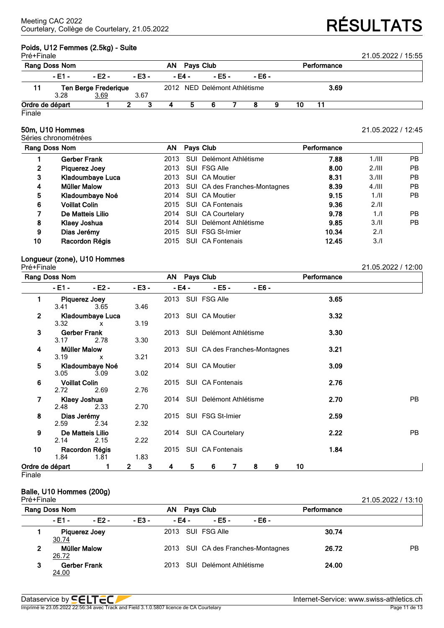# **Poids, U12 Femmes (2.5kg) - Suite**

| Pré+Finale                  | Rang Doss Nom   |        | AN.      | Pays Club |                              |          |        | Performance | 21.05.2022 / 15:55 |  |
|-----------------------------|-----------------|--------|----------|-----------|------------------------------|----------|--------|-------------|--------------------|--|
|                             | $-E1 -$         | - F2 - | $- E3 -$ |           | - E4 -                       | $- E5 -$ | - E6 - |             |                    |  |
| <b>Ten Berge Frederique</b> |                 |        |          |           | 2012 NED Delémont Athlétisme |          |        | 3.69        |                    |  |
|                             | 3.28            | 3.69   | 3.67     |           |                              |          |        |             |                    |  |
|                             | Ordre de départ |        |          |           |                              | 6        |        | 10          |                    |  |

Finale

### **50m, U10 Hommes** 21.05.2022 / 12:45

Séries chronométrées

| Rang Doss Nom |                      | AN.  | Pays Club         |                               | Performance |           |     |
|---------------|----------------------|------|-------------------|-------------------------------|-------------|-----------|-----|
|               | Gerber Frank         | 2013 |                   | SUI Delémont Athlétisme       | 7.88        | $1.1$ III | PB. |
| 2             | Piquerez Joey        | 2013 | SUI FSG Alle      |                               | 8.00        | 2.111     | PB. |
| 3             | Kladoumbaye Luca     | 2013 | SUI CA Moutier    |                               | 8.31        | 3.111     | PB. |
| 4             | <b>Müller Malow</b>  | 2013 |                   | SUI CA des Franches-Montagnes | 8.39        | $4.1$ III | PB. |
| 5             | Kladoumbaye Noé      | 2014 | SUI CA Moutier    |                               | 9.15        | 1.11      | PB. |
| 6             | <b>Voillat Colin</b> | 2015 | SUI CA Fontenais  |                               | 9.36        | 2.11      |     |
| 7             | De Matteis Lilio     | 2014 | SUI CA Courtelary |                               | 9.78        | 1/l       | PB. |
| 8             | Klaey Joshua         | 2014 |                   | SUI Delémont Athlétisme       | 9.85        | 3.11      | PB. |
| 9             | Dias Jerémy          | 2015 | SUI FSG St-Imier  |                               | 10.34       | 2.1       |     |
| 10            | Racordon Régis       | 2015 | SUI CA Fontenais  |                               | 12.45       | 3.1       |     |

# **Longueur (zone), U10 Hommes**

| סושו ווי טו     |                      |                         |                   |   |        |                                    |   |         |   |    |             | LI.VV.LVLL   IL.VV |           |
|-----------------|----------------------|-------------------------|-------------------|---|--------|------------------------------------|---|---------|---|----|-------------|--------------------|-----------|
|                 | Rang Doss Nom        |                         |                   |   |        | AN Pays Club                       |   |         |   |    | Performance |                    |           |
|                 | - E1 - I             | $-E2 -$                 | $-E3 -$           |   | - E4 - | - E5 -                             |   | $-E6 -$ |   |    |             |                    |           |
| 1               | Piquerez Joey        |                         |                   |   |        | 2013 SUI FSG Alle                  |   |         |   |    | 3.65        |                    |           |
|                 | 3.41                 | 3.65                    | 3.46              |   |        |                                    |   |         |   |    |             |                    |           |
| $\overline{2}$  |                      | <b>Kladoumbaye Luca</b> |                   |   |        | 2013 SUI CA Moutier                |   |         |   |    | 3.32        |                    |           |
|                 | 3.32 x x             |                         | 3.19              |   |        |                                    |   |         |   |    |             |                    |           |
| 3               | Gerber Frank         |                         |                   |   |        | 2013 SUI Delémont Athlétisme       |   |         |   |    | 3.30        |                    |           |
|                 | 3.17                 | 2.78                    | 3.30              |   |        |                                    |   |         |   |    |             |                    |           |
| 4               | <b>Müller Malow</b>  |                         |                   |   |        | 2013 SUI CA des Franches-Montagnes |   |         |   |    | 3.21        |                    |           |
|                 | 3.19                 | $\mathbf{x}$            | 3.21              |   |        |                                    |   |         |   |    |             |                    |           |
| 5               |                      | Kladoumbaye Noé         |                   |   |        | 2014 SUI CA Moutier                |   |         |   |    | 3.09        |                    |           |
|                 | 3.05                 | 3.09                    | 3.02              |   |        |                                    |   |         |   |    |             |                    |           |
| 6               | <b>Voillat Colin</b> | 2.69                    |                   |   |        | 2015 SUI CA Fontenais              |   |         |   |    | 2.76        |                    |           |
|                 | 2.72                 |                         | 2.76              |   |        |                                    |   |         |   |    |             |                    |           |
| 7               | Klaey Joshua<br>2.48 | 2.33                    | 2.70              |   |        | 2014 SUI Delémont Athlétisme       |   |         |   |    | 2.70        |                    | <b>PB</b> |
| 8               | Dias Jerémy          |                         |                   |   |        | 2015 SUI FSG St-Imier              |   |         |   |    | 2.59        |                    |           |
|                 | 2.59                 | 2.34                    | 2.32              |   |        |                                    |   |         |   |    |             |                    |           |
| 9               |                      | De Matteis Lilio        |                   |   |        | 2014 SUI CA Courtelary             |   |         |   |    | 2.22        |                    | <b>PB</b> |
|                 | 2.14                 | 2.15                    | 2.22              |   |        |                                    |   |         |   |    |             |                    |           |
| 10              |                      | Racordon Régis          |                   |   |        | 2015 SUI CA Fontenais              |   |         |   |    | 1.84        |                    |           |
|                 | 1.84                 | 1.81                    | 1.83              |   |        |                                    |   |         |   |    |             |                    |           |
| Ordre de départ |                      | 1                       | 3<br>$\mathbf{2}$ | 4 | 5      | 6                                  | 7 | 8       | 9 | 10 |             |                    |           |

**Finale** 

# **Balle, U10 Hommes (200g)**

| Pré+Finale    |              |                      |        |      |        |                         |                                    |             | 21.05.2022 / 13:10 |
|---------------|--------------|----------------------|--------|------|--------|-------------------------|------------------------------------|-------------|--------------------|
| Rang Doss Nom |              |                      |        | AN.  |        | <b>Pays Club</b>        |                                    | Performance |                    |
|               | - E1 -       | - E2 -               | - E3 - |      | - E4 - | - E5 -                  | - E6 -                             |             |                    |
|               | 30.74        | <b>Piquerez Joey</b> |        |      |        | 2013 SUI FSG Alle       |                                    | 30.74       |                    |
| 2             | 26.72        | <b>Müller Malow</b>  |        |      |        |                         | 2013 SUI CA des Franches-Montagnes | 26.72       | <b>PB</b>          |
| 3             | <u>24.00</u> | <b>Gerber Frank</b>  |        | 2013 |        | SUI Delémont Athlétisme |                                    | 24.00       |                    |

Pré+Finale 21.05.2022 / 12:00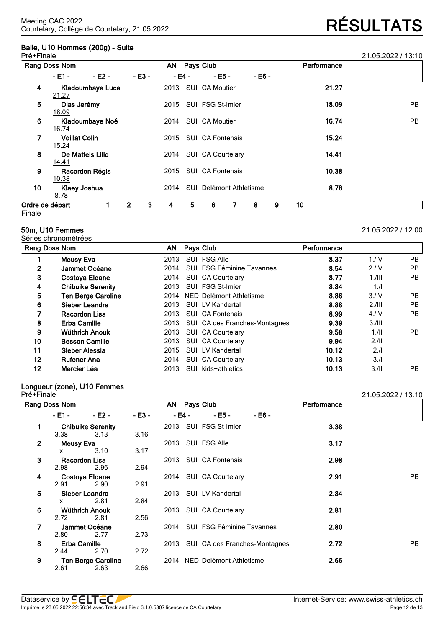# **Balle, U10 Hommes (200g) - Suite**

| Pré+Finale      |                                      |                  |              |         |      |        |                         |   |             |   |    |       | 21.05.2022 / 13:10 |
|-----------------|--------------------------------------|------------------|--------------|---------|------|--------|-------------------------|---|-------------|---|----|-------|--------------------|
|                 | Rang Doss Nom                        |                  |              |         |      |        | AN Pays Club            |   | Performance |   |    |       |                    |
|                 | - E1 -                               | $-E2 -$          |              | $-E3 -$ |      | - E4 - | $-EB -$                 |   | - E6 -      |   |    |       |                    |
| 4               | 21.27                                | Kladoumbaye Luca |              |         | 2013 |        | SUI CA Moutier          |   |             |   |    | 21.27 |                    |
| 5               | Dias Jerémy<br>18.09                 |                  |              |         | 2015 |        | SUI FSG St-Imier        |   |             |   |    | 18.09 | PB                 |
| 6               | 16.74                                | Kladoumbaye Noé  |              |         | 2014 |        | SUI CA Moutier          |   |             |   |    | 16.74 | <b>PB</b>          |
| 7               | <b>Voillat Colin</b><br><u>15.24</u> |                  |              |         | 2015 |        | <b>SUI CA Fontenais</b> |   |             |   |    | 15.24 |                    |
| 8               | 14.41                                | De Matteis Lilio |              |         | 2014 |        | SUI CA Courtelary       |   |             |   |    | 14.41 |                    |
| 9               | 10.38                                | Racordon Régis   |              |         | 2015 |        | <b>SUI CA Fontenais</b> |   |             |   |    | 10.38 |                    |
| 10              | 8.78                                 | Klaey Joshua     |              |         | 2014 |        | SUI Delémont Athlétisme |   |             |   |    | 8.78  |                    |
| Ordre de départ |                                      |                  | $\mathbf{2}$ | 3       | 4    | 5      | 6                       | 7 | 8           | 9 | 10 |       |                    |
| Finale          |                                      |                  |              |         |      |        |                         |   |             |   |    |       |                    |

### **50m, U10 Femmes** 21.05.2022 / 12:00

Séries chronométrées

| Rang Doss Nom |                           | AN   | Pays Club |                               | Performance |                  |           |
|---------------|---------------------------|------|-----------|-------------------------------|-------------|------------------|-----------|
|               | <b>Meusy Eva</b>          | 2013 |           | SUI FSG Alle                  | 8.37        | 1.1 <sup>N</sup> | PB        |
| 2             | Jammet Océane             | 2014 |           | SUI FSG Féminine Tavannes     | 8.54        | 2.1 <sup>N</sup> | <b>PB</b> |
| 3             | <b>Costoya Eloane</b>     | 2014 |           | SUI CA Courtelary             | 8.77        | $1.1$ III        | PB        |
| 4             | <b>Chibuike Serenity</b>  | 2013 |           | SUI FSG St-Imier              | 8.84        | 1.1              |           |
| 5             | <b>Ten Berge Caroline</b> | 2014 |           | NED Delémont Athlétisme       | 8.86        | 3.1V             | PB        |
| 6             | Sieber Leandra            | 2013 |           | SUI LV Kandertal              | 8.88        | 2.111            | <b>PB</b> |
| 7             | Racordon Lisa             | 2013 |           | <b>SUI CA Fontenais</b>       | 8.99        | 4.1 <sub>N</sub> | PB        |
| 8             | <b>Erba Camille</b>       | 2013 |           | SUI CA des Franches-Montagnes | 9.39        | 3.111            |           |
| 9             | <b>Wüthrich Anouk</b>     | 2013 |           | SUI CA Courtelary             | 9.58        | 1.11             | PB        |
| 10            | <b>Besson Camille</b>     | 2013 |           | SUI CA Courtelary             | 9.94        | 2.11             |           |
| 11            | Sieber Alessia            | 2015 |           | SUI LV Kandertal              | 10.12       | 2.1              |           |
| 12            | <b>Rufener Ana</b>        | 2014 |           | SUI CA Courtelary             | 10.13       | 3.1              |           |
| 12            | Mercier Léa               | 2013 | SUI.      | kids+athletics                | 10.13       | 3.11             | PB.       |

# **Longueur (zone), U10 Femmes**

21.05.2022 / 13:10 **Rang Doss Nom AN Pays Club Performance - E1 - - E2 - - E3 - - E4 - - E5 - - E6 - 1 Chibuike Serenity** 2013 SUI FSG St-Imier **3.38** 3.38 3.13 3.16 **2 Meusy Eva** 2013 SUI FSG Alle **3.17** x 3.10 3.17 **3 Racordon Lisa** 2013 SUI CA Fontenais **2.98** 2.98 2.96 2.94 **4 Costoya Eloane** 2014 SUI CA Courtelary **2.91** PB 2.91 2.90 2.91 **5 Sieber Leandra** 2013 SUI LV Kandertal **2.84** x 2.81 2.84 **6 Wüthrich Anouk** 2013 SUI CA Courtelary **2.81** 2.56 **7 Jammet Océane** 2014 SUI FSG Féminine Tavannes **2.80** 2.80 **8 Erba Camille** 2013 SUI CA des Franches-Montagnes **2.72** PB 2.70 **9 Ten Berge Caroline** 2014 NED Delémont Athlétisme **2.66** 2.63